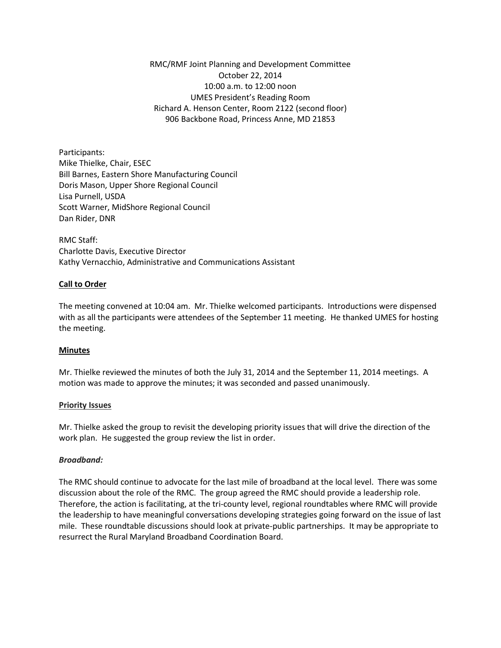RMC/RMF Joint Planning and Development Committee October 22, 2014 10:00 a.m. to 12:00 noon UMES President's Reading Room Richard A. Henson Center, Room 2122 (second floor) 906 Backbone Road, Princess Anne, MD 21853

Participants: Mike Thielke, Chair, ESEC Bill Barnes, Eastern Shore Manufacturing Council Doris Mason, Upper Shore Regional Council Lisa Purnell, USDA Scott Warner, MidShore Regional Council Dan Rider, DNR

RMC Staff: Charlotte Davis, Executive Director Kathy Vernacchio, Administrative and Communications Assistant

### **Call to Order**

The meeting convened at 10:04 am. Mr. Thielke welcomed participants. Introductions were dispensed with as all the participants were attendees of the September 11 meeting. He thanked UMES for hosting the meeting.

#### **Minutes**

Mr. Thielke reviewed the minutes of both the July 31, 2014 and the September 11, 2014 meetings. A motion was made to approve the minutes; it was seconded and passed unanimously.

#### **Priority Issues**

Mr. Thielke asked the group to revisit the developing priority issues that will drive the direction of the work plan. He suggested the group review the list in order.

#### *Broadband:*

The RMC should continue to advocate for the last mile of broadband at the local level. There was some discussion about the role of the RMC. The group agreed the RMC should provide a leadership role. Therefore, the action is facilitating, at the tri-county level, regional roundtables where RMC will provide the leadership to have meaningful conversations developing strategies going forward on the issue of last mile. These roundtable discussions should look at private-public partnerships. It may be appropriate to resurrect the Rural Maryland Broadband Coordination Board.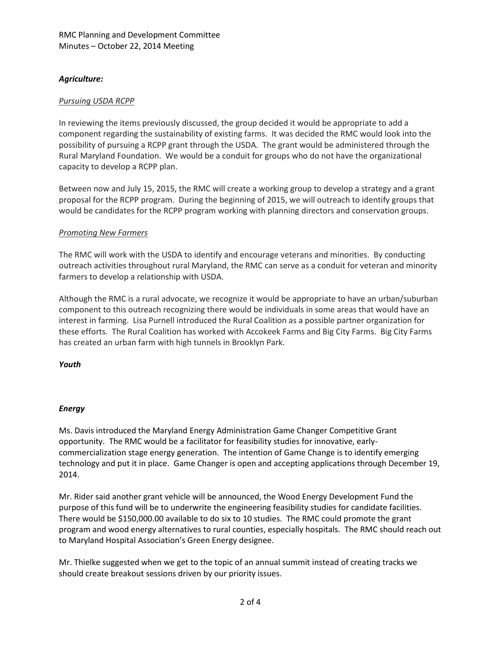# *Agriculture:*

# *Pursuing USDA RCPP*

In reviewing the items previously discussed, the group decided it would be appropriate to add a component regarding the sustainability of existing farms. It was decided the RMC would look into the possibility of pursuing a RCPP grant through the USDA. The grant would be administered through the Rural Maryland Foundation. We would be a conduit for groups who do not have the organizational capacity to develop a RCPP plan.

Between now and July 15, 2015, the RMC will create a working group to develop a strategy and a grant proposal for the RCPP program. During the beginning of 2015, we will outreach to identify groups that would be candidates for the RCPP program working with planning directors and conservation groups.

### *Promoting New Farmers*

The RMC will work with the USDA to identify and encourage veterans and minorities. By conducting outreach activities throughout rural Maryland, the RMC can serve as a conduit for veteran and minority farmers to develop a relationship with USDA.

Although the RMC is a rural advocate, we recognize it would be appropriate to have an urban/suburban component to this outreach recognizing there would be individuals in some areas that would have an interest in farming. Lisa Purnell introduced the Rural Coalition as a possible partner organization for these efforts. The Rural Coalition has worked with Accokeek Farms and Big City Farms. Big City Farms has created an urban farm with high tunnels in Brooklyn Park.

*Youth*

# *Energy*

Ms. Davis introduced the Maryland Energy Administration Game Changer Competitive Grant opportunity. The RMC would be a facilitator for feasibility studies for innovative, earlycommercialization stage energy generation. The intention of Game Change is to identify emerging technology and put it in place. Game Changer is open and accepting applications through December 19, 2014.

Mr. Rider said another grant vehicle will be announced, the Wood Energy Development Fund the purpose of this fund will be to underwrite the engineering feasibility studies for candidate facilities. There would be \$150,000.00 available to do six to 10 studies. The RMC could promote the grant program and wood energy alternatives to rural counties, especially hospitals. The RMC should reach out to Maryland Hospital Association's Green Energy designee.

Mr. Thielke suggested when we get to the topic of an annual summit instead of creating tracks we should create breakout sessions driven by our priority issues.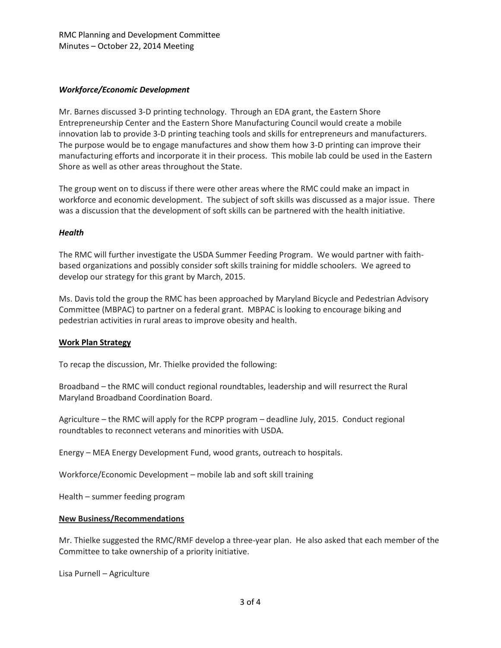# *Workforce/Economic Development*

Mr. Barnes discussed 3-D printing technology. Through an EDA grant, the Eastern Shore Entrepreneurship Center and the Eastern Shore Manufacturing Council would create a mobile innovation lab to provide 3-D printing teaching tools and skills for entrepreneurs and manufacturers. The purpose would be to engage manufactures and show them how 3-D printing can improve their manufacturing efforts and incorporate it in their process. This mobile lab could be used in the Eastern Shore as well as other areas throughout the State.

The group went on to discuss if there were other areas where the RMC could make an impact in workforce and economic development. The subject of soft skills was discussed as a major issue. There was a discussion that the development of soft skills can be partnered with the health initiative.

### *Health*

The RMC will further investigate the USDA Summer Feeding Program. We would partner with faithbased organizations and possibly consider soft skills training for middle schoolers. We agreed to develop our strategy for this grant by March, 2015.

Ms. Davis told the group the RMC has been approached by Maryland Bicycle and Pedestrian Advisory Committee (MBPAC) to partner on a federal grant. MBPAC is looking to encourage biking and pedestrian activities in rural areas to improve obesity and health.

# **Work Plan Strategy**

To recap the discussion, Mr. Thielke provided the following:

Broadband – the RMC will conduct regional roundtables, leadership and will resurrect the Rural Maryland Broadband Coordination Board.

Agriculture – the RMC will apply for the RCPP program – deadline July, 2015. Conduct regional roundtables to reconnect veterans and minorities with USDA.

Energy – MEA Energy Development Fund, wood grants, outreach to hospitals.

Workforce/Economic Development – mobile lab and soft skill training

Health – summer feeding program

#### **New Business/Recommendations**

Mr. Thielke suggested the RMC/RMF develop a three-year plan. He also asked that each member of the Committee to take ownership of a priority initiative.

Lisa Purnell – Agriculture